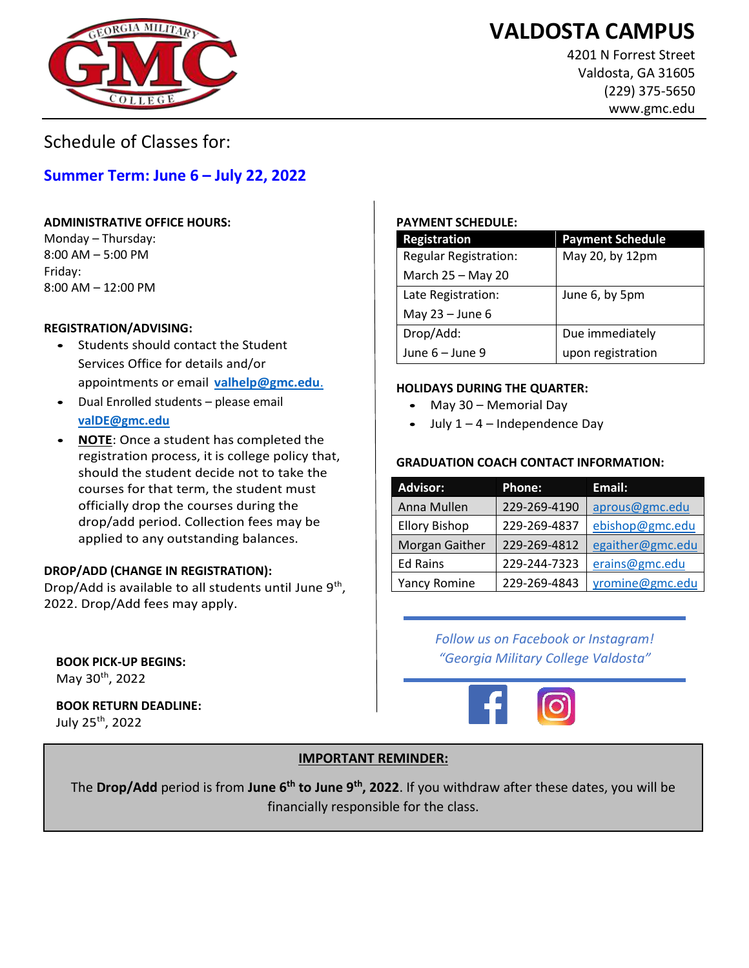# **VALDOSTA CAMPUS**



4201 N Forrest Street Valdosta, GA 31605 (229) 375-5650 www.gmc.edu

Schedule of Classes for:

### **Summer Term: June 6 – July 22, 2022**

### **ADMINISTRATIVE OFFICE HOURS:**

Monday – Thursday: 8:00 AM – 5:00 PM Friday: 8:00 AM – 12:00 PM

### **REGISTRATION/ADVISING:**

- Students should contact the Student Services Office for details and/or appointments or email **[valhelp@gmc.edu](mailto:valhelp@gmc.edu.)**.
- Dual Enrolled students please email **[valDE@gmc.edu](mailto:valDE@gmc.edu)**
- **NOTE**: Once a student has completed the registration process, it is college policy that, should the student decide not to take the courses for that term, the student must officially drop the courses during the drop/add period. Collection fees may be applied to any outstanding balances.

### **DROP/ADD (CHANGE IN REGISTRATION):**

Drop/Add is available to all students until June 9<sup>th</sup>, 2022. Drop/Add fees may apply.

**BOOK PICK-UP BEGINS:**  May 30th, 2022

**BOOK RETURN DEADLINE:**  July 25th, 2022

### **PAYMENT SCHEDULE:**

| <b>Registration</b>          | <b>Payment Schedule</b> |
|------------------------------|-------------------------|
| <b>Regular Registration:</b> | May 20, by 12pm         |
| March 25 - May 20            |                         |
| Late Registration:           | June 6, by 5pm          |
| May $23 -$ June 6            |                         |
| Drop/Add:                    | Due immediately         |
| June 6 - June 9              | upon registration       |

### **HOLIDAYS DURING THE QUARTER:**

- May 30 Memorial Day
- July  $1 4$  Independence Day

### **GRADUATION COACH CONTACT INFORMATION:**

| <b>Advisor:</b>      | <b>Phone:</b> | Email:           |
|----------------------|---------------|------------------|
| Anna Mullen          | 229-269-4190  | aprous@gmc.edu   |
| <b>Ellory Bishop</b> | 229-269-4837  | ebishop@gmc.edu  |
| Morgan Gaither       | 229-269-4812  | egaither@gmc.edu |
| <b>Ed Rains</b>      | 229-244-7323  | erains@gmc.edu   |
| <b>Yancy Romine</b>  | 229-269-4843  | yromine@gmc.edu  |

*Follow us on Facebook or Instagram! "Georgia Military College Valdosta"*



### **IMPORTANT REMINDER:**

The **Drop/Add** period is from **June 6th to June 9th , 2022**. If you withdraw after these dates, you will be financially responsible for the class.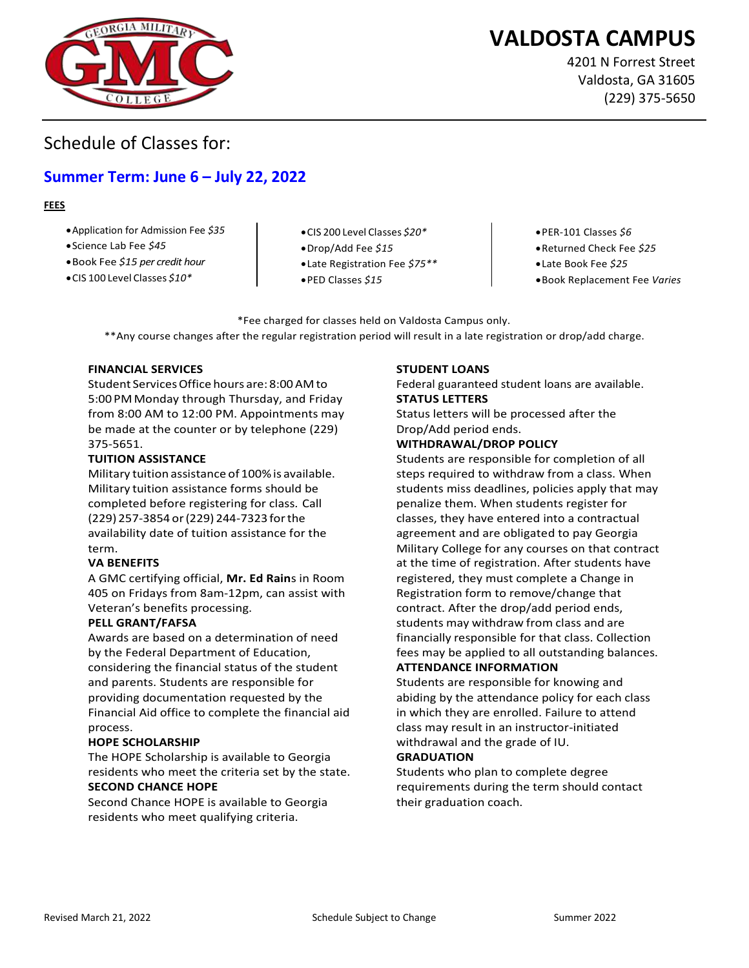

# **VALDOSTA CAMPUS**

4201 N Forrest Street Valdosta, GA 31605 (229) 375-5650

ww.gmc.edu

### Schedule of Classes for:

### **Summer Term: June 6 – July 22, 2022**

#### **FEES**

- •Application for Admission Fee *\$35*
- •Science Lab Fee *\$45*
- •Book Fee *\$15 per credit hour*
- •CIS 100 Level Classes *\$10\**
- •CIS 200 Level Classes *\$20\**
- •Drop/Add Fee *\$15*
- •Late Registration Fee *\$75\*\**
- •PED Classes *\$15*
- •PER-101 Classes *\$6*
- •Returned Check Fee *\$25*
- •Late Book Fee *\$25*
- •Book Replacement Fee *Varies*

\*Fee charged for classes held on Valdosta Campus only. \*\*Any course changes after the regular registration period will result in a late registration or drop/add charge.

#### **FINANCIAL SERVICES**

Student Services Office hours are: 8:00 AMto 5:00 PM Monday through Thursday, and Friday from 8:00 AM to 12:00 PM. Appointments may be made at the counter or by telephone (229) 375-5651.

#### **TUITION ASSISTANCE**

Military tuition assistance of 100% is available. Military tuition assistance forms should be completed before registering for class. Call (229) 257-3854 or (229) 244-7323 for the availability date of tuition assistance for the term.

#### **VA BENEFITS**

A GMC certifying official, **Mr. Ed Rain**s in Room 405 on Fridays from 8am-12pm, can assist with Veteran's benefits processing.

#### **PELL GRANT/FAFSA**

Awards are based on a determination of need by the Federal Department of Education, considering the financial status of the student and parents. Students are responsible for providing documentation requested by the Financial Aid office to complete the financial aid process.

#### **HOPE SCHOLARSHIP**

The HOPE Scholarship is available to Georgia residents who meet the criteria set by the state. **SECOND CHANCE HOPE** 

Second Chance HOPE is available to Georgia residents who meet qualifying criteria.

#### **STUDENT LOANS**

Federal guaranteed student loans are available. **STATUS LETTERS** 

Status letters will be processed after the Drop/Add period ends.

### **WITHDRAWAL/DROP POLICY**

Students are responsible for completion of all steps required to withdraw from a class. When students miss deadlines, policies apply that may penalize them. When students register for classes, they have entered into a contractual agreement and are obligated to pay Georgia Military College for any courses on that contract at the time of registration. After students have registered, they must complete a Change in Registration form to remove/change that contract. After the drop/add period ends, students may withdraw from class and are financially responsible for that class. Collection fees may be applied to all outstanding balances. **ATTENDANCE INFORMATION** 

Students are responsible for knowing and abiding by the attendance policy for each class in which they are enrolled. Failure to attend class may result in an instructor-initiated withdrawal and the grade of IU.

#### **GRADUATION**

Students who plan to complete degree requirements during the term should contact their graduation coach.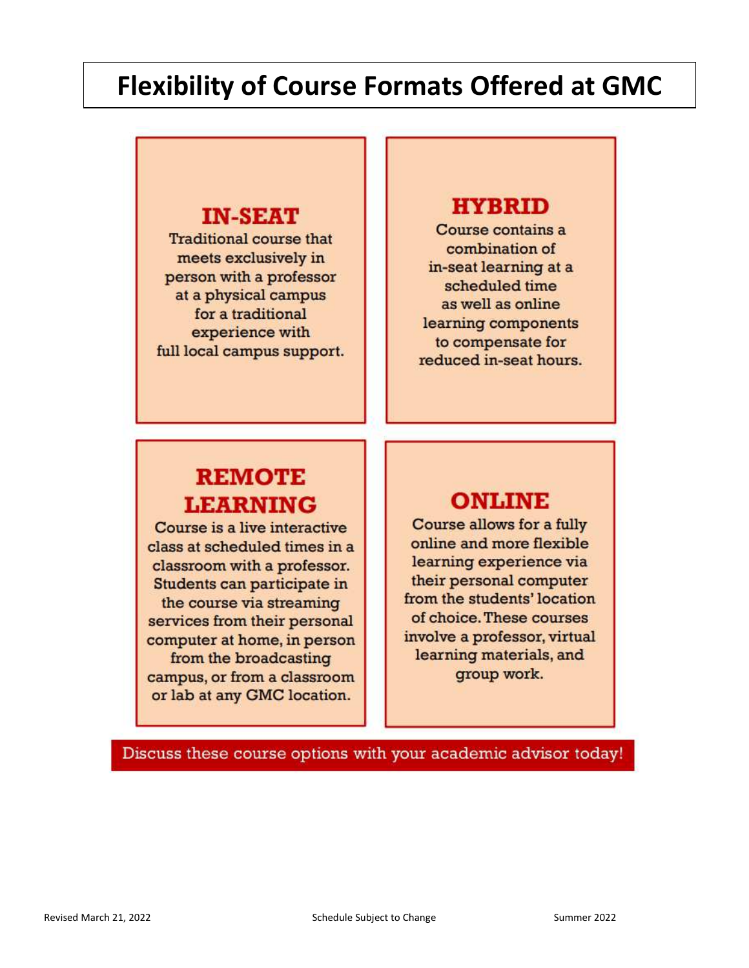# **Flexibility of Course Formats Offered at GMC**

### **IN-SEAT**

**Traditional course that** meets exclusively in person with a professor at a physical campus for a traditional experience with full local campus support.

# **HYBRID**

Course contains a combination of in-seat learning at a scheduled time as well as online learning components to compensate for reduced in-seat hours.

# **REMOTE LEARNING**

Course is a live interactive class at scheduled times in a classroom with a professor. Students can participate in the course via streaming services from their personal computer at home, in person from the broadcasting campus, or from a classroom or lab at any GMC location.

# **ONLINE**

Course allows for a fully online and more flexible learning experience via their personal computer from the students' location of choice. These courses involve a professor, virtual learning materials, and group work.

Discuss these course options with your academic advisor today!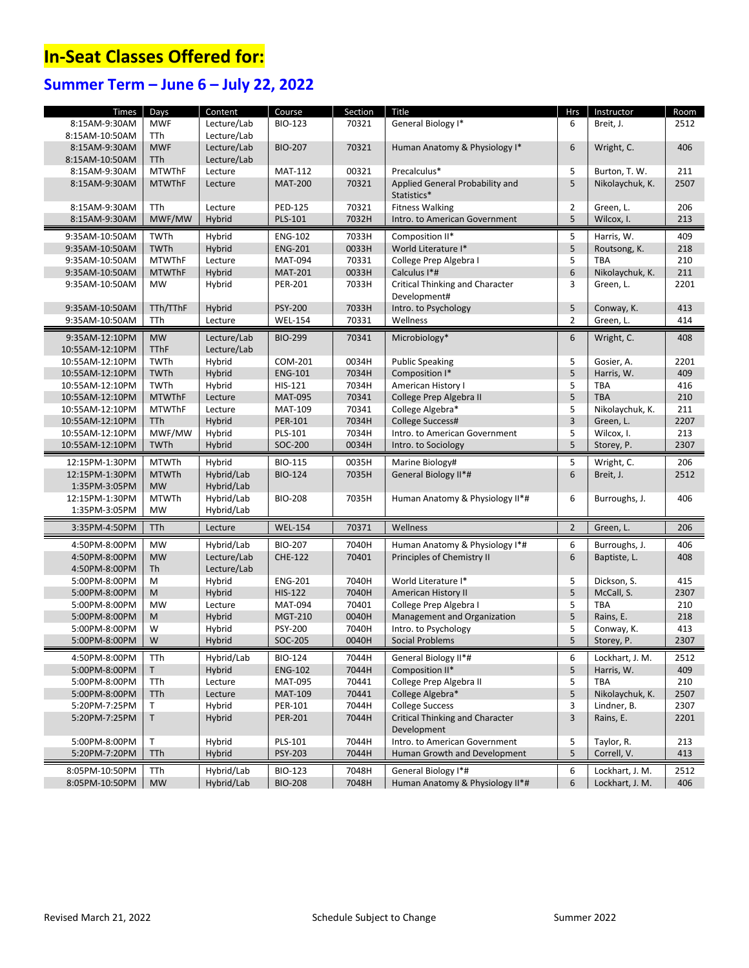# **In-Seat Classes Offered for:**

## **Summer Term – June 6 – July 22, 2022**

| Times           | Days          | Content     | Course         | Section | Title                                  | <b>Hrs</b>     | Instructor              | Room |
|-----------------|---------------|-------------|----------------|---------|----------------------------------------|----------------|-------------------------|------|
| 8:15AM-9:30AM   | <b>MWF</b>    | Lecture/Lab | <b>BIO-123</b> | 70321   | General Biology I*                     | 6              | Breit, J.               | 2512 |
| 8:15AM-10:50AM  | <b>TTh</b>    | Lecture/Lab |                |         |                                        |                |                         |      |
| 8:15AM-9:30AM   | <b>MWF</b>    | Lecture/Lab | <b>BIO-207</b> | 70321   | Human Anatomy & Physiology I*          | 6              | Wright, C.              | 406  |
| 8:15AM-10:50AM  | <b>TTh</b>    | Lecture/Lab |                |         |                                        |                |                         |      |
| 8:15AM-9:30AM   | <b>MTWThF</b> | Lecture     | <b>MAT-112</b> | 00321   | Precalculus*                           | 5              | Burton, T. W.           | 211  |
| 8:15AM-9:30AM   | <b>MTWThF</b> | Lecture     | <b>MAT-200</b> | 70321   | Applied General Probability and        | 5              | Nikolaychuk, K.         | 2507 |
|                 |               |             |                |         | Statistics*                            |                |                         |      |
| 8:15AM-9:30AM   | TTh           | Lecture     | <b>PED-125</b> | 70321   | <b>Fitness Walking</b>                 | 2              | Green, L.               | 206  |
| 8:15AM-9:30AM   | MWF/MW        | Hybrid      | PLS-101        | 7032H   | Intro. to American Government          | 5              | Wilcox, I.              | 213  |
|                 |               |             |                |         |                                        |                |                         |      |
| 9:35AM-10:50AM  | TWTh          | Hybrid      | <b>ENG-102</b> | 7033H   | Composition II*                        | 5              | Harris, W.              | 409  |
| 9:35AM-10:50AM  | <b>TWTh</b>   | Hybrid      | <b>ENG-201</b> | 0033H   | World Literature I*                    | 5              | Routsong, K.            | 218  |
| 9:35AM-10:50AM  | <b>MTWThF</b> | Lecture     | <b>MAT-094</b> | 70331   | College Prep Algebra I                 | 5              | <b>TBA</b>              | 210  |
| 9:35AM-10:50AM  | <b>MTWThF</b> | Hybrid      | <b>MAT-201</b> | 0033H   | Calculus I*#                           | 6              | Nikolaychuk, K.         | 211  |
| 9:35AM-10:50AM  | <b>MW</b>     | Hybrid      | PER-201        | 7033H   | <b>Critical Thinking and Character</b> | 3              | Green, L.               | 2201 |
|                 |               |             |                |         | Development#                           | 5              |                         |      |
| 9:35AM-10:50AM  | TTh/TThF      | Hybrid      | <b>PSY-200</b> | 7033H   | Intro. to Psychology                   | $\overline{2}$ | Conway, K.<br>Green, L. | 413  |
| 9:35AM-10:50AM  | TTh           | Lecture     | <b>WEL-154</b> | 70331   | Wellness                               |                |                         | 414  |
| 9:35AM-12:10PM  | <b>MW</b>     | Lecture/Lab | <b>BIO-299</b> | 70341   | Microbiology*                          | 6              | Wright, C.              | 408  |
| 10:55AM-12:10PM | <b>TThF</b>   | Lecture/Lab |                |         |                                        |                |                         |      |
| 10:55AM-12:10PM | TWTh          | Hybrid      | COM-201        | 0034H   | <b>Public Speaking</b>                 | 5              | Gosier, A.              | 2201 |
| 10:55AM-12:10PM | <b>TWTh</b>   | Hybrid      | <b>ENG-101</b> | 7034H   | Composition I*                         | 5              | Harris, W.              | 409  |
| 10:55AM-12:10PM | TWTh          | Hybrid      | HIS-121        | 7034H   | American History I                     | 5              | <b>TBA</b>              | 416  |
| 10:55AM-12:10PM | <b>MTWThF</b> | Lecture     | <b>MAT-095</b> | 70341   | College Prep Algebra II                | 5              | <b>TBA</b>              | 210  |
| 10:55AM-12:10PM | <b>MTWThF</b> | Lecture     | <b>MAT-109</b> | 70341   | College Algebra*                       | 5              | Nikolaychuk, K.         | 211  |
| 10:55AM-12:10PM | TTh           | Hybrid      | PER-101        | 7034H   | College Success#                       | $\overline{3}$ | Green, L.               | 2207 |
| 10:55AM-12:10PM | MWF/MW        | Hybrid      | PLS-101        | 7034H   | Intro. to American Government          | 5              | Wilcox, I.              | 213  |
| 10:55AM-12:10PM | <b>TWTh</b>   | Hybrid      | SOC-200        | 0034H   | Intro. to Sociology                    | 5              | Storey, P.              | 2307 |
| 12:15PM-1:30PM  | <b>MTWTh</b>  | Hybrid      | <b>BIO-115</b> | 0035H   | Marine Biology#                        | 5              | Wright, C.              | 206  |
| 12:15PM-1:30PM  | <b>MTWTh</b>  | Hybrid/Lab  | <b>BIO-124</b> | 7035H   | General Biology II*#                   | 6              | Breit, J.               | 2512 |
| 1:35PM-3:05PM   | <b>MW</b>     | Hybrid/Lab  |                |         |                                        |                |                         |      |
| 12:15PM-1:30PM  | <b>MTWTh</b>  | Hybrid/Lab  | <b>BIO-208</b> | 7035H   | Human Anatomy & Physiology II*#        | 6              | Burroughs, J.           | 406  |
| 1:35PM-3:05PM   | <b>MW</b>     | Hybrid/Lab  |                |         |                                        |                |                         |      |
| 3:35PM-4:50PM   | TTh           | Lecture     | <b>WEL-154</b> | 70371   | Wellness                               | $\overline{2}$ | Green, L.               | 206  |
|                 |               |             |                |         |                                        |                |                         |      |
| 4:50PM-8:00PM   | <b>MW</b>     | Hybrid/Lab  | <b>BIO-207</b> | 7040H   | Human Anatomy & Physiology I*#         | 6              | Burroughs, J.           | 406  |
| 4:50PM-8:00PM   | <b>MW</b>     | Lecture/Lab | <b>CHE-122</b> | 70401   | Principles of Chemistry II             | $6\,$          | Baptiste, L.            | 408  |
| 4:50PM-8:00PM   | <b>Th</b>     | Lecture/Lab |                |         |                                        |                |                         |      |
| 5:00PM-8:00PM   | M             | Hybrid      | <b>ENG-201</b> | 7040H   | World Literature I*                    | 5              | Dickson, S.             | 415  |
| 5:00PM-8:00PM   | M             | Hybrid      | <b>HIS-122</b> | 7040H   | American History II                    | 5              | McCall, S.              | 2307 |
| 5:00PM-8:00PM   | <b>MW</b>     | Lecture     | <b>MAT-094</b> | 70401   | College Prep Algebra I                 | 5              | <b>TBA</b>              | 210  |
| 5:00PM-8:00PM   | M             | Hybrid      | <b>MGT-210</b> | 0040H   | Management and Organization            | 5              | Rains, E.               | 218  |
| 5:00PM-8:00PM   | W             | Hybrid      | PSY-200        | 7040H   | Intro. to Psychology                   | 5              | Conway, K.              | 413  |
| 5:00PM-8:00PM   | W             | Hybrid      | SOC-205        | 0040H   | <b>Social Problems</b>                 | 5              | Storey, P.              | 2307 |
| 4:50PM-8:00PM   | TTh           | Hybrid/Lab  | BIO-124        | 7044H   | General Biology II*#                   | 6              | Lockhart, J. M.         | 2512 |
| 5:00PM-8:00PM   | T.            | Hybrid      | <b>ENG-102</b> | 7044H   | Composition II*                        | 5              | Harris, W.              | 409  |
| 5:00PM-8:00PM   | TTh           | Lecture     | <b>MAT-095</b> | 70441   | College Prep Algebra II                | 5              | <b>TBA</b>              | 210  |
| 5:00PM-8:00PM   | TTh           | Lecture     | <b>MAT-109</b> | 70441   | College Algebra*                       | 5              | Nikolaychuk, K.         | 2507 |
| 5:20PM-7:25PM   | T.            | Hybrid      | PER-101        | 7044H   | <b>College Success</b>                 | 3              | Lindner, B.             | 2307 |
| 5:20PM-7:25PM   | T             | Hybrid      | PER-201        | 7044H   | <b>Critical Thinking and Character</b> | $\overline{3}$ | Rains, E.               | 2201 |
|                 |               |             |                |         | Development                            |                |                         |      |
| 5:00PM-8:00PM   | Τ             | Hybrid      | PLS-101        | 7044H   | Intro, to American Government          | 5              | Taylor, R.              | 213  |
| 5:20PM-7:20PM   | TTh           | Hybrid      | PSY-203        | 7044H   | Human Growth and Development           | 5              | Correll, V.             | 413  |
| 8:05PM-10:50PM  | TTh           | Hybrid/Lab  | <b>BIO-123</b> | 7048H   | General Biology I*#                    | 6              | Lockhart, J. M.         | 2512 |
| 8:05PM-10:50PM  | <b>MW</b>     | Hybrid/Lab  | <b>BIO-208</b> | 7048H   | Human Anatomy & Physiology II*#        | 6              | Lockhart, J. M.         | 406  |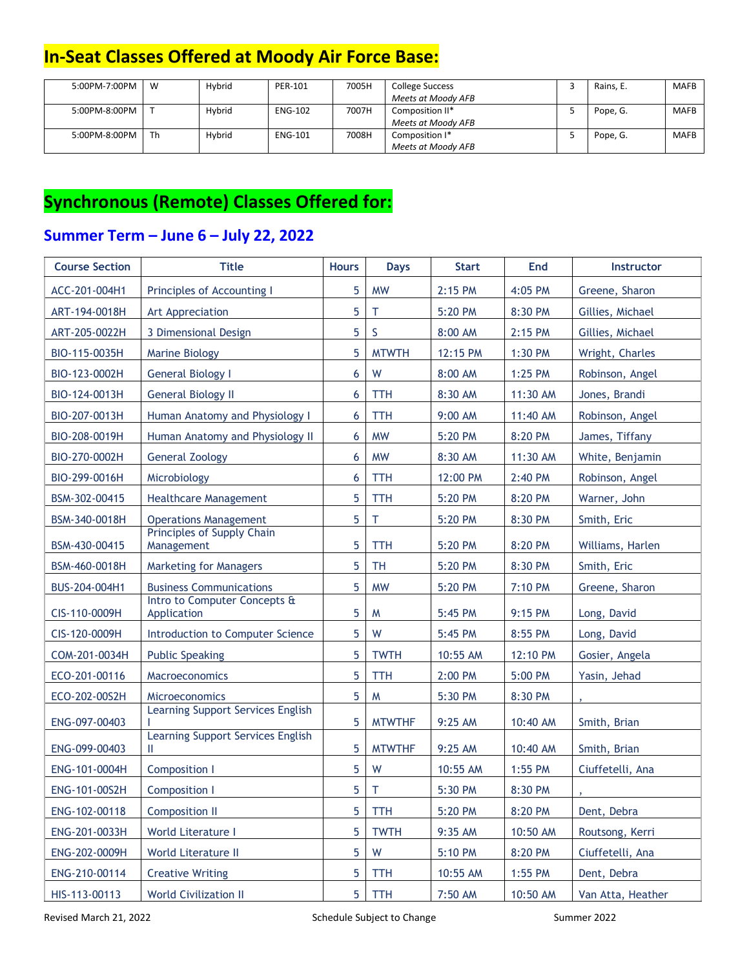# **In-Seat Classes Offered at Moody Air Force Base:**

| 5:00PM-7:00PM | - W | Hybrid        | PER-101        | 7005H | College Success    | Rains. E. | <b>MAFB</b> |
|---------------|-----|---------------|----------------|-------|--------------------|-----------|-------------|
|               |     |               |                |       | Meets at Moody AFB |           |             |
| 5:00PM-8:00PM |     | <b>Hybrid</b> | <b>ENG-102</b> | 7007H | Composition II*    | Pope, G.  | <b>MAFB</b> |
|               |     |               |                |       | Meets at Moody AFB |           |             |
| 5:00PM-8:00PM | Th  | Hybrid        | <b>ENG-101</b> | 7008H | Composition I*     | Pope, G.  | <b>MAFB</b> |
|               |     |               |                |       | Meets at Moody AFB |           |             |

# **Synchronous (Remote) Classes Offered for:**

### **Summer Term – June 6 – July 22, 2022**

| <b>Course Section</b> | <b>Title</b>                                | <b>Hours</b> | <b>Days</b>   | <b>Start</b> | End      | Instructor        |
|-----------------------|---------------------------------------------|--------------|---------------|--------------|----------|-------------------|
| ACC-201-004H1         | Principles of Accounting I                  | 5            | <b>MW</b>     | 2:15 PM      | 4:05 PM  | Greene, Sharon    |
| ART-194-0018H         | Art Appreciation                            | 5            | T             | 5:20 PM      | 8:30 PM  | Gillies, Michael  |
| ART-205-0022H         | 3 Dimensional Design                        | 5            | S             | 8:00 AM      | 2:15 PM  | Gillies, Michael  |
| BIO-115-0035H         | <b>Marine Biology</b>                       | 5            | <b>MTWTH</b>  | 12:15 PM     | 1:30 PM  | Wright, Charles   |
| BIO-123-0002H         | <b>General Biology I</b>                    | 6            | W             | 8:00 AM      | 1:25 PM  | Robinson, Angel   |
| BIO-124-0013H         | <b>General Biology II</b>                   | 6            | <b>TTH</b>    | 8:30 AM      | 11:30 AM | Jones, Brandi     |
| BIO-207-0013H         | Human Anatomy and Physiology I              | 6            | <b>TTH</b>    | 9:00 AM      | 11:40 AM | Robinson, Angel   |
| BIO-208-0019H         | Human Anatomy and Physiology II             | 6            | <b>MW</b>     | 5:20 PM      | 8:20 PM  | James, Tiffany    |
| BIO-270-0002H         | General Zoology                             | 6            | <b>MW</b>     | 8:30 AM      | 11:30 AM | White, Benjamin   |
| BIO-299-0016H         | Microbiology                                | 6            | <b>TTH</b>    | 12:00 PM     | 2:40 PM  | Robinson, Angel   |
| BSM-302-00415         | <b>Healthcare Management</b>                | 5            | <b>TTH</b>    | 5:20 PM      | 8:20 PM  | Warner, John      |
| BSM-340-0018H         | <b>Operations Management</b>                | 5            | т             | 5:20 PM      | 8:30 PM  | Smith, Eric       |
| BSM-430-00415         | Principles of Supply Chain<br>Management    | 5            | <b>TTH</b>    | 5:20 PM      | 8:20 PM  | Williams, Harlen  |
| BSM-460-0018H         | <b>Marketing for Managers</b>               | 5            | <b>TH</b>     | 5:20 PM      | 8:30 PM  | Smith, Eric       |
| BUS-204-004H1         | <b>Business Communications</b>              | 5            | <b>MW</b>     | 5:20 PM      | 7:10 PM  | Greene, Sharon    |
| CIS-110-0009H         | Intro to Computer Concepts &<br>Application | 5            | M             | 5:45 PM      | 9:15 PM  | Long, David       |
| CIS-120-0009H         | Introduction to Computer Science            | 5            | W             | 5:45 PM      | 8:55 PM  | Long, David       |
| COM-201-0034H         | <b>Public Speaking</b>                      | 5            | <b>TWTH</b>   | 10:55 AM     | 12:10 PM | Gosier, Angela    |
| ECO-201-00116         | Macroeconomics                              | 5            | <b>TTH</b>    | 2:00 PM      | 5:00 PM  | Yasin, Jehad      |
| ECO-202-00S2H         | Microeconomics                              | 5            | M             | 5:30 PM      | 8:30 PM  |                   |
| ENG-097-00403         | Learning Support Services English           | 5            | <b>MTWTHF</b> | 9:25 AM      | 10:40 AM | Smith, Brian      |
| ENG-099-00403         | Learning Support Services English<br>Ш      | 5            | <b>MTWTHF</b> | 9:25 AM      | 10:40 AM | Smith, Brian      |
| ENG-101-0004H         | Composition I                               | 5            | W             | 10:55 AM     | 1:55 PM  | Ciuffetelli, Ana  |
| ENG-101-00S2H         | Composition I                               | 5            | $\top$        | 5:30 PM      | 8:30 PM  |                   |
| ENG-102-00118         | <b>Composition II</b>                       | 5            | <b>TTH</b>    | 5:20 PM      | 8:20 PM  | Dent, Debra       |
| ENG-201-0033H         | World Literature I                          | 5            | <b>TWTH</b>   | 9:35 AM      | 10:50 AM | Routsong, Kerri   |
| ENG-202-0009H         | World Literature II                         | 5            | W             | 5:10 PM      | 8:20 PM  | Ciuffetelli, Ana  |
| ENG-210-00114         | <b>Creative Writing</b>                     | 5            | TTH           | 10:55 AM     | 1:55 PM  | Dent, Debra       |
| HIS-113-00113         | <b>World Civilization II</b>                | 5            | <b>TTH</b>    | 7:50 AM      | 10:50 AM | Van Atta, Heather |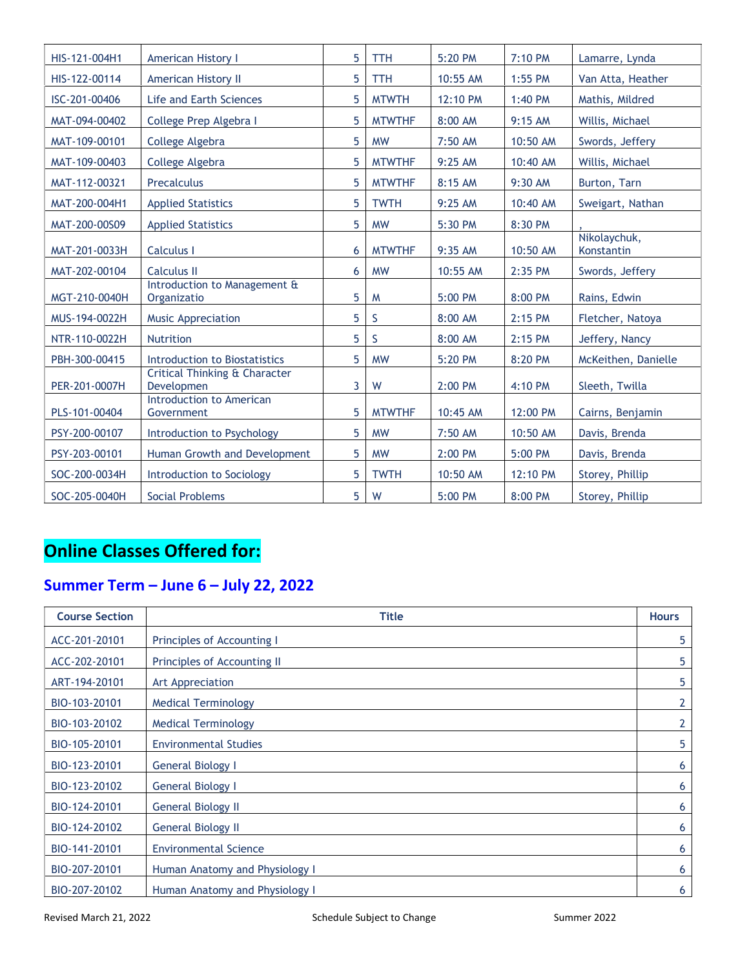| HIS-121-004H1 | <b>American History I</b>                   | 5 | <b>TTH</b>    | 5:20 PM  | 7:10 PM   | Lamarre, Lynda             |
|---------------|---------------------------------------------|---|---------------|----------|-----------|----------------------------|
| HIS-122-00114 | <b>American History II</b>                  | 5 | <b>TTH</b>    | 10:55 AM | 1:55 PM   | Van Atta, Heather          |
| ISC-201-00406 | Life and Earth Sciences                     | 5 | <b>MTWTH</b>  | 12:10 PM | 1:40 PM   | Mathis, Mildred            |
| MAT-094-00402 | College Prep Algebra I                      | 5 | <b>MTWTHF</b> | 8:00 AM  | 9:15 AM   | Willis, Michael            |
| MAT-109-00101 | College Algebra                             | 5 | <b>MW</b>     | 7:50 AM  | 10:50 AM  | Swords, Jeffery            |
| MAT-109-00403 | College Algebra                             | 5 | <b>MTWTHF</b> | 9:25 AM  | 10:40 AM  | Willis, Michael            |
| MAT-112-00321 | Precalculus                                 | 5 | <b>MTWTHF</b> | 8:15 AM  | 9:30 AM   | Burton, Tarn               |
| MAT-200-004H1 | <b>Applied Statistics</b>                   | 5 | <b>TWTH</b>   | 9:25 AM  | 10:40 AM  | Sweigart, Nathan           |
| MAT-200-00S09 | <b>Applied Statistics</b>                   | 5 | <b>MW</b>     | 5:30 PM  | 8:30 PM   |                            |
| MAT-201-0033H | <b>Calculus I</b>                           | 6 | <b>MTWTHF</b> | 9:35 AM  | 10:50 AM  | Nikolaychuk,<br>Konstantin |
| MAT-202-00104 | <b>Calculus II</b>                          | 6 | <b>MW</b>     | 10:55 AM | 2:35 PM   | Swords, Jeffery            |
| MGT-210-0040H | Introduction to Management &<br>Organizatio | 5 | M             | 5:00 PM  | 8:00 PM   | Rains, Edwin               |
| MUS-194-0022H | <b>Music Appreciation</b>                   | 5 | S             | 8:00 AM  | $2:15$ PM | Fletcher, Natoya           |
| NTR-110-0022H | Nutrition                                   | 5 | S             | 8:00 AM  | 2:15 PM   | Jeffery, Nancy             |
| PBH-300-00415 | Introduction to Biostatistics               | 5 | <b>MW</b>     | 5:20 PM  | 8:20 PM   | McKeithen, Danielle        |
| PER-201-0007H | Critical Thinking & Character<br>Developmen | 3 | W             | 2:00 PM  | 4:10 PM   | Sleeth, Twilla             |
| PLS-101-00404 | Introduction to American<br>Government      | 5 | <b>MTWTHF</b> | 10:45 AM | 12:00 PM  | Cairns, Benjamin           |
| PSY-200-00107 | Introduction to Psychology                  | 5 | <b>MW</b>     | 7:50 AM  | 10:50 AM  | Davis, Brenda              |
| PSY-203-00101 | Human Growth and Development                | 5 | <b>MW</b>     | 2:00 PM  | 5:00 PM   | Davis, Brenda              |
| SOC-200-0034H | Introduction to Sociology                   | 5 | <b>TWTH</b>   | 10:50 AM | 12:10 PM  | Storey, Phillip            |
| SOC-205-0040H | <b>Social Problems</b>                      | 5 | W             | 5:00 PM  | 8:00 PM   | Storey, Phillip            |

# **Online Classes Offered for:**

# **Summer Term – June 6 – July 22, 2022**

| <b>Course Section</b> | <b>Title</b>                   | <b>Hours</b> |
|-----------------------|--------------------------------|--------------|
| ACC-201-20101         | Principles of Accounting I     | 5            |
| ACC-202-20101         | Principles of Accounting II    | 5            |
| ART-194-20101         | Art Appreciation               | 5            |
| BIO-103-20101         | <b>Medical Terminology</b>     | 2            |
| BIO-103-20102         | <b>Medical Terminology</b>     | 2            |
| BIO-105-20101         | <b>Environmental Studies</b>   | 5            |
| BIO-123-20101         | <b>General Biology I</b>       | 6            |
| BIO-123-20102         | <b>General Biology I</b>       | 6            |
| BIO-124-20101         | <b>General Biology II</b>      | 6            |
| BIO-124-20102         | <b>General Biology II</b>      | 6            |
| BIO-141-20101         | <b>Environmental Science</b>   | 6            |
| BIO-207-20101         | Human Anatomy and Physiology I | 6            |
| BIO-207-20102         | Human Anatomy and Physiology I | 6            |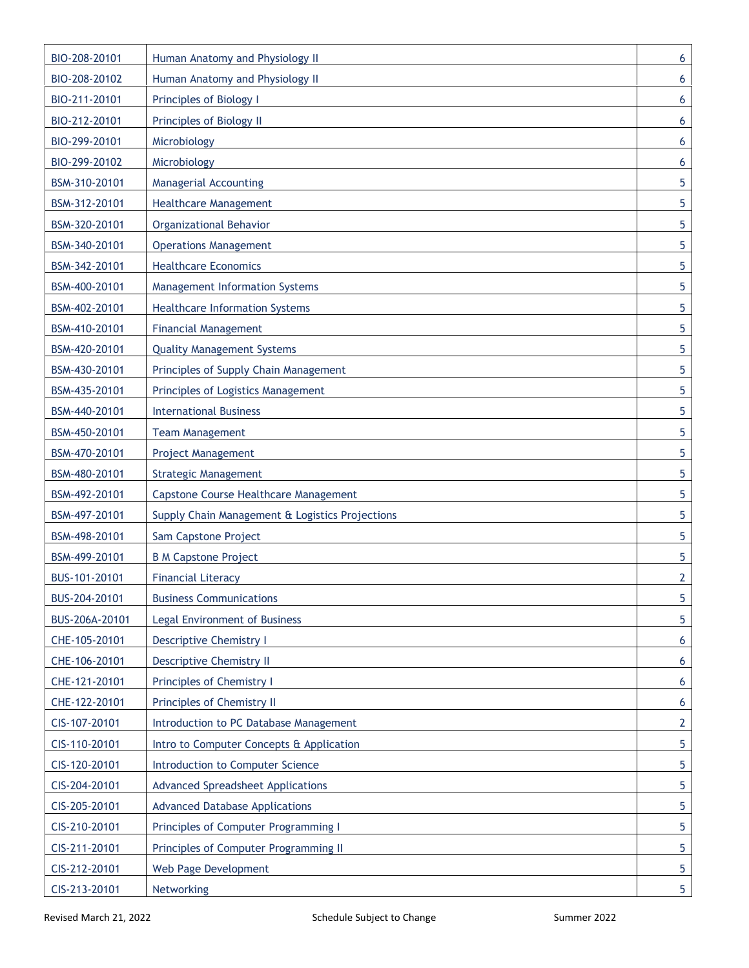| BIO-208-20101  | Human Anatomy and Physiology II                 | 6              |
|----------------|-------------------------------------------------|----------------|
| BIO-208-20102  | Human Anatomy and Physiology II                 | 6              |
| BIO-211-20101  | Principles of Biology I                         | 6              |
| BIO-212-20101  | Principles of Biology II                        | 6              |
| BIO-299-20101  | Microbiology                                    | 6              |
| BIO-299-20102  | Microbiology                                    | 6              |
| BSM-310-20101  | <b>Managerial Accounting</b>                    | 5              |
| BSM-312-20101  | <b>Healthcare Management</b>                    | 5              |
| BSM-320-20101  | <b>Organizational Behavior</b>                  | 5              |
| BSM-340-20101  | <b>Operations Management</b>                    | 5              |
| BSM-342-20101  | <b>Healthcare Economics</b>                     | 5              |
| BSM-400-20101  | <b>Management Information Systems</b>           | 5              |
| BSM-402-20101  | <b>Healthcare Information Systems</b>           | 5              |
| BSM-410-20101  | <b>Financial Management</b>                     | 5              |
| BSM-420-20101  | <b>Quality Management Systems</b>               | 5              |
| BSM-430-20101  | Principles of Supply Chain Management           | 5              |
| BSM-435-20101  | Principles of Logistics Management              | 5              |
| BSM-440-20101  | <b>International Business</b>                   | 5              |
| BSM-450-20101  | <b>Team Management</b>                          | 5              |
| BSM-470-20101  | <b>Project Management</b>                       | 5              |
| BSM-480-20101  | <b>Strategic Management</b>                     | 5              |
| BSM-492-20101  | Capstone Course Healthcare Management           | 5              |
| BSM-497-20101  | Supply Chain Management & Logistics Projections | 5              |
| BSM-498-20101  | Sam Capstone Project                            | 5              |
| BSM-499-20101  | <b>B M Capstone Project</b>                     | 5              |
| BUS-101-20101  | <b>Financial Literacy</b>                       | $\overline{2}$ |
| BUS-204-20101  | <b>Business Communications</b>                  | 5              |
| BUS-206A-20101 | Legal Environment of Business                   | 5              |
| CHE-105-20101  | <b>Descriptive Chemistry I</b>                  | 6              |
| CHE-106-20101  | <b>Descriptive Chemistry II</b>                 | 6              |
| CHE-121-20101  | Principles of Chemistry I                       | 6              |
| CHE-122-20101  | Principles of Chemistry II                      | 6              |
| CIS-107-20101  | Introduction to PC Database Management          | 2              |
| CIS-110-20101  | Intro to Computer Concepts & Application        | 5              |
| CIS-120-20101  | Introduction to Computer Science                | 5              |
| CIS-204-20101  | <b>Advanced Spreadsheet Applications</b>        | 5              |
| CIS-205-20101  | <b>Advanced Database Applications</b>           | 5              |
| CIS-210-20101  | Principles of Computer Programming I            | 5              |
| CIS-211-20101  | Principles of Computer Programming II           | 5              |
| CIS-212-20101  | Web Page Development                            | 5              |
| CIS-213-20101  | Networking                                      | 5              |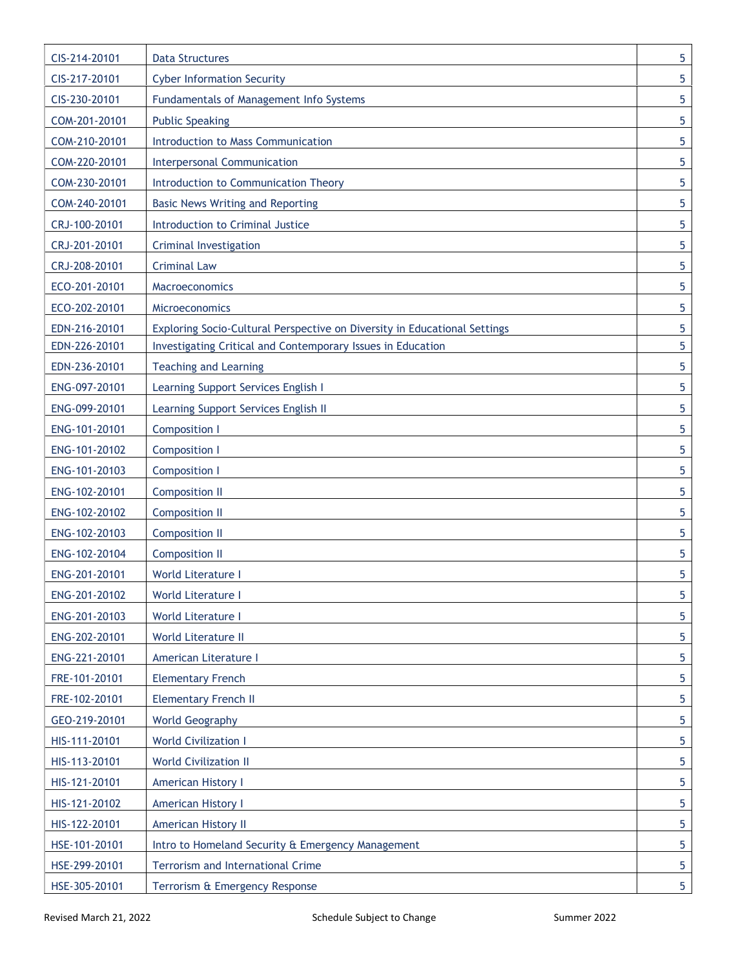| CIS-214-20101 | <b>Data Structures</b>                                                    | 5              |
|---------------|---------------------------------------------------------------------------|----------------|
| CIS-217-20101 | <b>Cyber Information Security</b>                                         | 5              |
| CIS-230-20101 | Fundamentals of Management Info Systems                                   | 5              |
| COM-201-20101 | <b>Public Speaking</b>                                                    | 5              |
| COM-210-20101 | Introduction to Mass Communication                                        | 5              |
| COM-220-20101 | <b>Interpersonal Communication</b>                                        | 5              |
| COM-230-20101 | Introduction to Communication Theory                                      | 5              |
| COM-240-20101 | <b>Basic News Writing and Reporting</b>                                   | 5              |
| CRJ-100-20101 | Introduction to Criminal Justice                                          | 5              |
| CRJ-201-20101 | Criminal Investigation                                                    | 5              |
| CRJ-208-20101 | <b>Criminal Law</b>                                                       | 5              |
| ECO-201-20101 | Macroeconomics                                                            | 5              |
| ECO-202-20101 | <b>Microeconomics</b>                                                     | 5              |
| EDN-216-20101 | Exploring Socio-Cultural Perspective on Diversity in Educational Settings | 5              |
| EDN-226-20101 | Investigating Critical and Contemporary Issues in Education               | 5              |
| EDN-236-20101 | <b>Teaching and Learning</b>                                              | 5              |
| ENG-097-20101 | Learning Support Services English I                                       | 5              |
| ENG-099-20101 | Learning Support Services English II                                      | 5              |
| ENG-101-20101 | <b>Composition I</b>                                                      | 5              |
| ENG-101-20102 | <b>Composition I</b>                                                      | 5              |
| ENG-101-20103 | <b>Composition I</b>                                                      | 5              |
| ENG-102-20101 | <b>Composition II</b>                                                     | 5              |
| ENG-102-20102 | <b>Composition II</b>                                                     | 5              |
| ENG-102-20103 | <b>Composition II</b>                                                     | 5              |
| ENG-102-20104 | <b>Composition II</b>                                                     | 5              |
| ENG-201-20101 | World Literature I                                                        | 5              |
| ENG-201-20102 | World Literature I                                                        | 5              |
| ENG-201-20103 | World Literature I                                                        | 5              |
| ENG-202-20101 | <b>World Literature II</b>                                                | 5              |
| ENG-221-20101 | American Literature I                                                     | 5              |
| FRE-101-20101 | <b>Elementary French</b>                                                  | 5              |
| FRE-102-20101 | <b>Elementary French II</b>                                               | 5              |
| GEO-219-20101 | <b>World Geography</b>                                                    | 5              |
| HIS-111-20101 | <b>World Civilization I</b>                                               | 5              |
| HIS-113-20101 | <b>World Civilization II</b>                                              | 5              |
| HIS-121-20101 | <b>American History I</b>                                                 | 5              |
| HIS-121-20102 | <b>American History I</b>                                                 | 5              |
| HIS-122-20101 | American History II                                                       | 5              |
| HSE-101-20101 | Intro to Homeland Security & Emergency Management                         | 5              |
| HSE-299-20101 | Terrorism and International Crime                                         | 5              |
| HSE-305-20101 | Terrorism & Emergency Response                                            | 5 <sub>5</sub> |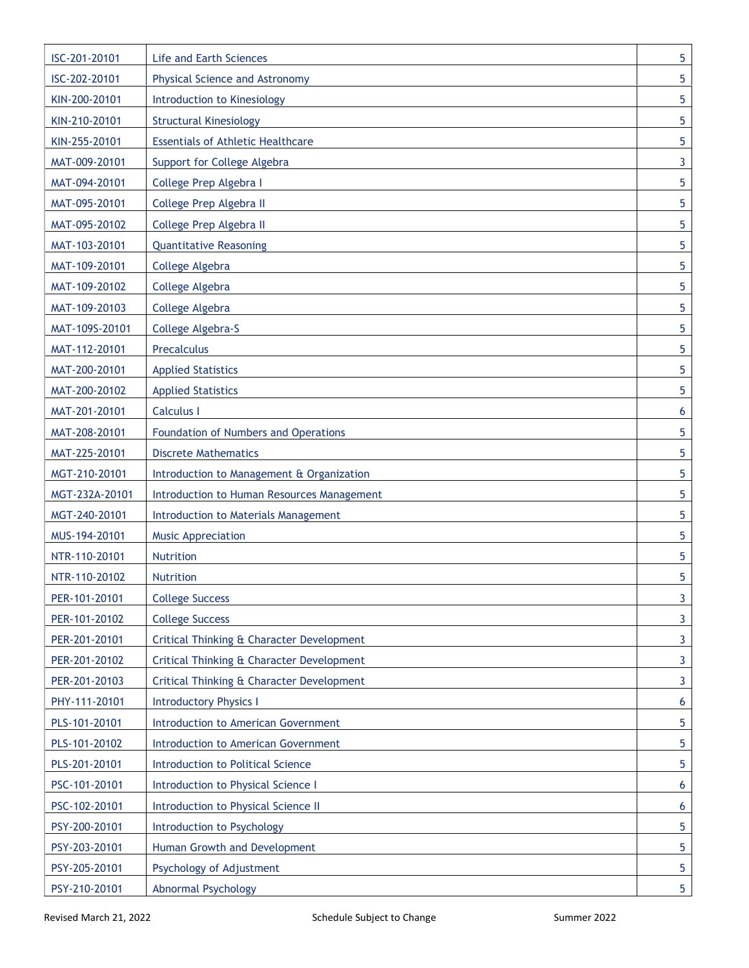| ISC-201-20101  | Life and Earth Sciences                     | 5 |
|----------------|---------------------------------------------|---|
| ISC-202-20101  | Physical Science and Astronomy              | 5 |
| KIN-200-20101  | Introduction to Kinesiology                 | 5 |
| KIN-210-20101  | <b>Structural Kinesiology</b>               | 5 |
| KIN-255-20101  | <b>Essentials of Athletic Healthcare</b>    | 5 |
| MAT-009-20101  | Support for College Algebra                 | 3 |
| MAT-094-20101  | College Prep Algebra I                      | 5 |
| MAT-095-20101  | College Prep Algebra II                     | 5 |
| MAT-095-20102  | College Prep Algebra II                     | 5 |
| MAT-103-20101  | <b>Quantitative Reasoning</b>               | 5 |
| MAT-109-20101  | College Algebra                             | 5 |
| MAT-109-20102  | College Algebra                             | 5 |
| MAT-109-20103  | College Algebra                             | 5 |
| MAT-109S-20101 | College Algebra-S                           | 5 |
| MAT-112-20101  | Precalculus                                 | 5 |
| MAT-200-20101  | <b>Applied Statistics</b>                   | 5 |
| MAT-200-20102  | <b>Applied Statistics</b>                   | 5 |
| MAT-201-20101  | <b>Calculus I</b>                           | 6 |
| MAT-208-20101  | Foundation of Numbers and Operations        | 5 |
| MAT-225-20101  | <b>Discrete Mathematics</b>                 | 5 |
| MGT-210-20101  | Introduction to Management & Organization   | 5 |
| MGT-232A-20101 | Introduction to Human Resources Management  | 5 |
| MGT-240-20101  | <b>Introduction to Materials Management</b> | 5 |
| MUS-194-20101  | <b>Music Appreciation</b>                   | 5 |
| NTR-110-20101  | Nutrition                                   | 5 |
| NTR-110-20102  | <b>Nutrition</b>                            | 5 |
| PER-101-20101  | <b>College Success</b>                      | 3 |
| PER-101-20102  | <b>College Success</b>                      | 3 |
| PER-201-20101  | Critical Thinking & Character Development   | 3 |
| PER-201-20102  | Critical Thinking & Character Development   | 3 |
| PER-201-20103  | Critical Thinking & Character Development   | 3 |
| PHY-111-20101  | <b>Introductory Physics I</b>               | 6 |
| PLS-101-20101  | Introduction to American Government         | 5 |
| PLS-101-20102  | Introduction to American Government         | 5 |
| PLS-201-20101  | Introduction to Political Science           | 5 |
| PSC-101-20101  | Introduction to Physical Science I          | 6 |
| PSC-102-20101  | Introduction to Physical Science II         | 6 |
| PSY-200-20101  | Introduction to Psychology                  | 5 |
| PSY-203-20101  | Human Growth and Development                | 5 |
| PSY-205-20101  | Psychology of Adjustment                    | 5 |
| PSY-210-20101  | <b>Abnormal Psychology</b>                  | 5 |